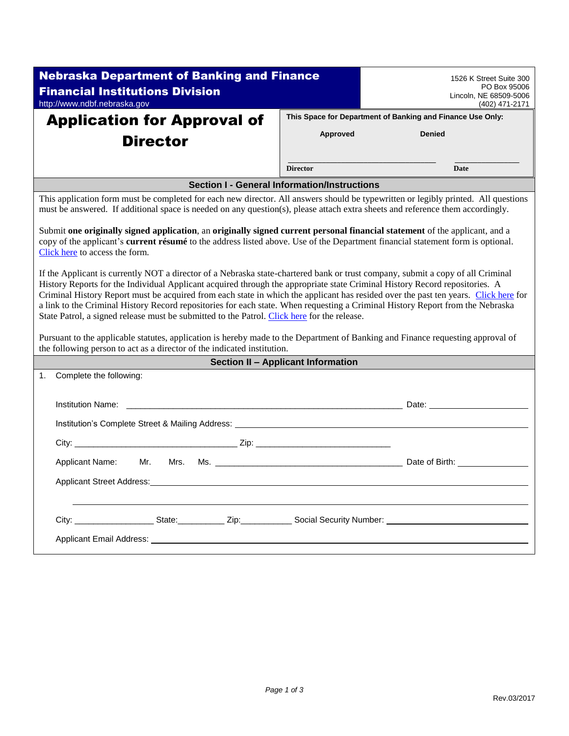| <b>Nebraska Department of Banking and Finance</b><br><b>Financial Institutions Division</b>                                                                                                                                                                                                                                                                                                                                                                                                                                                                                                                                            |                                    | 1526 K Street Suite 300<br>PO Box 95006                    |  |  |  |  |
|----------------------------------------------------------------------------------------------------------------------------------------------------------------------------------------------------------------------------------------------------------------------------------------------------------------------------------------------------------------------------------------------------------------------------------------------------------------------------------------------------------------------------------------------------------------------------------------------------------------------------------------|------------------------------------|------------------------------------------------------------|--|--|--|--|
| http://www.ndbf.nebraska.gov                                                                                                                                                                                                                                                                                                                                                                                                                                                                                                                                                                                                           |                                    | Lincoln, NE 68509-5006<br>(402) 471-2171                   |  |  |  |  |
| <b>Application for Approval of</b>                                                                                                                                                                                                                                                                                                                                                                                                                                                                                                                                                                                                     |                                    | This Space for Department of Banking and Finance Use Only: |  |  |  |  |
| <b>Director</b>                                                                                                                                                                                                                                                                                                                                                                                                                                                                                                                                                                                                                        | Approved                           | <b>Denied</b>                                              |  |  |  |  |
|                                                                                                                                                                                                                                                                                                                                                                                                                                                                                                                                                                                                                                        | <b>Director</b>                    | <b>Date</b>                                                |  |  |  |  |
| <b>Section I - General Information/Instructions</b>                                                                                                                                                                                                                                                                                                                                                                                                                                                                                                                                                                                    |                                    |                                                            |  |  |  |  |
| This application form must be completed for each new director. All answers should be typewritten or legibly printed. All questions<br>must be answered. If additional space is needed on any question(s), please attach extra sheets and reference them accordingly.                                                                                                                                                                                                                                                                                                                                                                   |                                    |                                                            |  |  |  |  |
| Submit one originally signed application, an originally signed current personal financial statement of the applicant, and a<br>copy of the applicant's current résumé to the address listed above. Use of the Department financial statement form is optional.<br>Click here to access the form.                                                                                                                                                                                                                                                                                                                                       |                                    |                                                            |  |  |  |  |
| If the Applicant is currently NOT a director of a Nebraska state-chartered bank or trust company, submit a copy of all Criminal<br>History Reports for the Individual Applicant acquired through the appropriate state Criminal History Record repositories. A<br>Criminal History Report must be acquired from each state in which the applicant has resided over the past ten years. Click here for<br>a link to the Criminal History Record repositories for each state. When requesting a Criminal History Report from the Nebraska<br>State Patrol, a signed release must be submitted to the Patrol. Click here for the release. |                                    |                                                            |  |  |  |  |
| Pursuant to the applicable statutes, application is hereby made to the Department of Banking and Finance requesting approval of<br>the following person to act as a director of the indicated institution.                                                                                                                                                                                                                                                                                                                                                                                                                             |                                    |                                                            |  |  |  |  |
|                                                                                                                                                                                                                                                                                                                                                                                                                                                                                                                                                                                                                                        | Section II - Applicant Information |                                                            |  |  |  |  |
| Complete the following:<br>1.                                                                                                                                                                                                                                                                                                                                                                                                                                                                                                                                                                                                          |                                    |                                                            |  |  |  |  |
| <b>Institution Name:</b>                                                                                                                                                                                                                                                                                                                                                                                                                                                                                                                                                                                                               |                                    |                                                            |  |  |  |  |
|                                                                                                                                                                                                                                                                                                                                                                                                                                                                                                                                                                                                                                        |                                    |                                                            |  |  |  |  |
|                                                                                                                                                                                                                                                                                                                                                                                                                                                                                                                                                                                                                                        |                                    |                                                            |  |  |  |  |
| Applicant Name: Mr.<br>Mrs.                                                                                                                                                                                                                                                                                                                                                                                                                                                                                                                                                                                                            |                                    |                                                            |  |  |  |  |
| <b>Applicant Street Address:</b>                                                                                                                                                                                                                                                                                                                                                                                                                                                                                                                                                                                                       |                                    |                                                            |  |  |  |  |
|                                                                                                                                                                                                                                                                                                                                                                                                                                                                                                                                                                                                                                        |                                    |                                                            |  |  |  |  |
|                                                                                                                                                                                                                                                                                                                                                                                                                                                                                                                                                                                                                                        |                                    |                                                            |  |  |  |  |
|                                                                                                                                                                                                                                                                                                                                                                                                                                                                                                                                                                                                                                        |                                    |                                                            |  |  |  |  |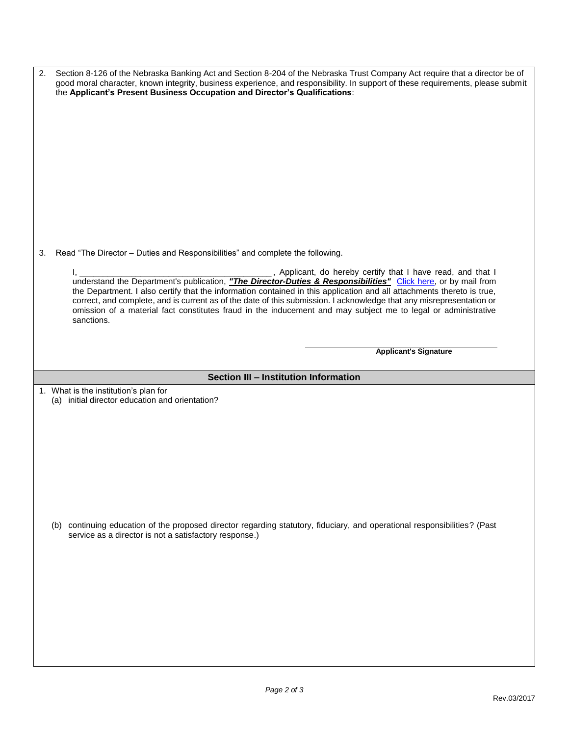| 2.                                    | Section 8-126 of the Nebraska Banking Act and Section 8-204 of the Nebraska Trust Company Act require that a director be of<br>good moral character, known integrity, business experience, and responsibility. In support of these requirements, please submit<br>the Applicant's Present Business Occupation and Director's Qualifications:                                                                                                                                                                                                                                                          |  |  |  |
|---------------------------------------|-------------------------------------------------------------------------------------------------------------------------------------------------------------------------------------------------------------------------------------------------------------------------------------------------------------------------------------------------------------------------------------------------------------------------------------------------------------------------------------------------------------------------------------------------------------------------------------------------------|--|--|--|
| 3.                                    | Read "The Director - Duties and Responsibilities" and complete the following.                                                                                                                                                                                                                                                                                                                                                                                                                                                                                                                         |  |  |  |
|                                       |                                                                                                                                                                                                                                                                                                                                                                                                                                                                                                                                                                                                       |  |  |  |
|                                       | ______________, Applicant, do hereby certify that I have read, and that I<br><u>l, ____________</u><br>understand the Department's publication, "The Director-Duties & Responsibilities" Click here, or by mail from<br>the Department. I also certify that the information contained in this application and all attachments thereto is true,<br>correct, and complete, and is current as of the date of this submission. I acknowledge that any misrepresentation or<br>omission of a material fact constitutes fraud in the inducement and may subject me to legal or administrative<br>sanctions. |  |  |  |
|                                       |                                                                                                                                                                                                                                                                                                                                                                                                                                                                                                                                                                                                       |  |  |  |
|                                       | <b>Applicant's Signature</b>                                                                                                                                                                                                                                                                                                                                                                                                                                                                                                                                                                          |  |  |  |
| Section III - Institution Information |                                                                                                                                                                                                                                                                                                                                                                                                                                                                                                                                                                                                       |  |  |  |
|                                       |                                                                                                                                                                                                                                                                                                                                                                                                                                                                                                                                                                                                       |  |  |  |
|                                       |                                                                                                                                                                                                                                                                                                                                                                                                                                                                                                                                                                                                       |  |  |  |
|                                       | 1. What is the institution's plan for<br>(a) initial director education and orientation?                                                                                                                                                                                                                                                                                                                                                                                                                                                                                                              |  |  |  |
|                                       |                                                                                                                                                                                                                                                                                                                                                                                                                                                                                                                                                                                                       |  |  |  |
|                                       |                                                                                                                                                                                                                                                                                                                                                                                                                                                                                                                                                                                                       |  |  |  |
|                                       |                                                                                                                                                                                                                                                                                                                                                                                                                                                                                                                                                                                                       |  |  |  |
|                                       |                                                                                                                                                                                                                                                                                                                                                                                                                                                                                                                                                                                                       |  |  |  |
|                                       |                                                                                                                                                                                                                                                                                                                                                                                                                                                                                                                                                                                                       |  |  |  |
|                                       |                                                                                                                                                                                                                                                                                                                                                                                                                                                                                                                                                                                                       |  |  |  |
|                                       |                                                                                                                                                                                                                                                                                                                                                                                                                                                                                                                                                                                                       |  |  |  |
|                                       |                                                                                                                                                                                                                                                                                                                                                                                                                                                                                                                                                                                                       |  |  |  |
|                                       | (b) continuing education of the proposed director regarding statutory, fiduciary, and operational responsibilities? (Past                                                                                                                                                                                                                                                                                                                                                                                                                                                                             |  |  |  |
|                                       | service as a director is not a satisfactory response.)                                                                                                                                                                                                                                                                                                                                                                                                                                                                                                                                                |  |  |  |
|                                       |                                                                                                                                                                                                                                                                                                                                                                                                                                                                                                                                                                                                       |  |  |  |
|                                       |                                                                                                                                                                                                                                                                                                                                                                                                                                                                                                                                                                                                       |  |  |  |
|                                       |                                                                                                                                                                                                                                                                                                                                                                                                                                                                                                                                                                                                       |  |  |  |
|                                       |                                                                                                                                                                                                                                                                                                                                                                                                                                                                                                                                                                                                       |  |  |  |
|                                       |                                                                                                                                                                                                                                                                                                                                                                                                                                                                                                                                                                                                       |  |  |  |
|                                       |                                                                                                                                                                                                                                                                                                                                                                                                                                                                                                                                                                                                       |  |  |  |
|                                       |                                                                                                                                                                                                                                                                                                                                                                                                                                                                                                                                                                                                       |  |  |  |